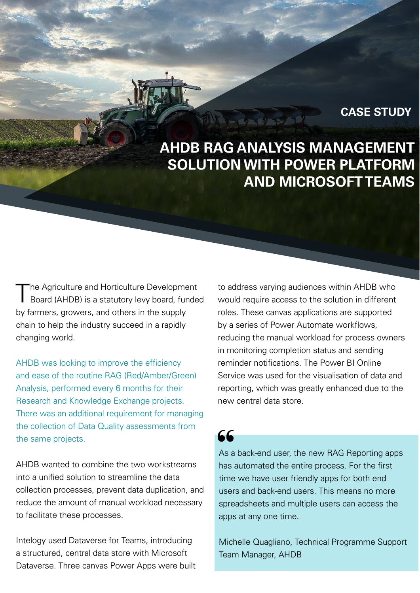## **CASE STUDY**

# **AHDB RAG ANALYSIS MANAGEMENT SOLUTION WITH POWER PLATFORM AND MICROSOFT TEAMS**

The Agriculture and Horticulture Development Board (AHDB) is a statutory levy board, funded by farmers, growers, and others in the supply chain to help the industry succeed in a rapidly changing world.

AHDB was looking to improve the efficiency and ease of the routine RAG (Red/Amber/Green) Analysis, performed every 6 months for their Research and Knowledge Exchange projects. There was an additional requirement for managing the collection of Data Quality assessments from the same projects.

AHDB wanted to combine the two workstreams into a unified solution to streamline the data collection processes, prevent data duplication, and reduce the amount of manual workload necessary to facilitate these processes.

Intelogy used Dataverse for Teams, introducing a structured, central data store with Microsoft Dataverse. Three canvas Power Apps were built to address varying audiences within AHDB who would require access to the solution in different roles. These canvas applications are supported by a series of Power Automate workflows, reducing the manual workload for process owners in monitoring completion status and sending reminder notifications. The Power BI Online Service was used for the visualisation of data and reporting, which was greatly enhanced due to the new central data store.

66

As a back-end user, the new RAG Reporting apps has automated the entire process. For the first time we have user friendly apps for both end users and back-end users. This means no more spreadsheets and multiple users can access the apps at any one time.

Michelle Quagliano, Technical Programme Support Team Manager, AHDB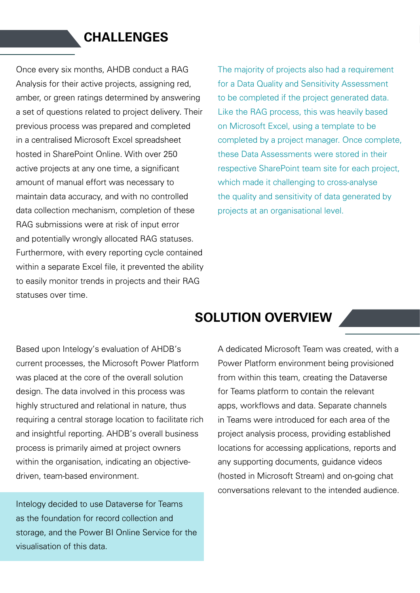## **CHALLENGES**

Once every six months, AHDB conduct a RAG Analysis for their active projects, assigning red, amber, or green ratings determined by answering a set of questions related to project delivery. Their previous process was prepared and completed in a centralised Microsoft Excel spreadsheet hosted in SharePoint Online. With over 250 active projects at any one time, a significant amount of manual effort was necessary to maintain data accuracy, and with no controlled data collection mechanism, completion of these RAG submissions were at risk of input error and potentially wrongly allocated RAG statuses. Furthermore, with every reporting cycle contained within a separate Excel file, it prevented the ability to easily monitor trends in projects and their RAG statuses over time.

The majority of projects also had a requirement for a Data Quality and Sensitivity Assessment to be completed if the project generated data. Like the RAG process, this was heavily based on Microsoft Excel, using a template to be completed by a project manager. Once complete, these Data Assessments were stored in their respective SharePoint team site for each project, which made it challenging to cross-analyse the quality and sensitivity of data generated by projects at an organisational level.

## Based upon Intelogy's evaluation of AHDB's current processes, the Microsoft Power Platform was placed at the core of the overall solution design. The data involved in this process was highly structured and relational in nature, thus requiring a central storage location to facilitate rich and insightful reporting. AHDB's overall business process is primarily aimed at project owners within the organisation, indicating an objectivedriven, team-based environment.

Intelogy decided to use Dataverse for Teams as the foundation for record collection and storage, and the Power BI Online Service for the visualisation of this data.

## **SOLUTION OVERVIEW**

A dedicated Microsoft Team was created, with a Power Platform environment being provisioned from within this team, creating the Dataverse for Teams platform to contain the relevant apps, workflows and data. Separate channels in Teams were introduced for each area of the project analysis process, providing established locations for accessing applications, reports and any supporting documents, guidance videos (hosted in Microsoft Stream) and on-going chat conversations relevant to the intended audience.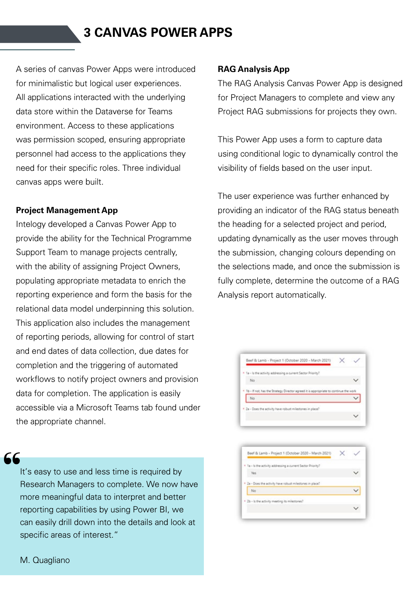## **3 CANVAS POWER APPS**

A series of canvas Power Apps were introduced for minimalistic but logical user experiences. All applications interacted with the underlying data store within the Dataverse for Teams environment. Access to these applications was permission scoped, ensuring appropriate personnel had access to the applications they need for their specific roles. Three individual canvas apps were built.

### **Project Management App**

Intelogy developed a Canvas Power App to provide the ability for the Technical Programme Support Team to manage projects centrally, with the ability of assigning Project Owners, populating appropriate metadata to enrich the reporting experience and form the basis for the relational data model underpinning this solution. This application also includes the management of reporting periods, allowing for control of start and end dates of data collection, due dates for completion and the triggering of automated workflows to notify project owners and provision data for completion. The application is easily accessible via a Microsoft Teams tab found under the appropriate channel.

# **66**<br>|<br>|

It's easy to use and less time is required by Research Managers to complete. We now have more meaningful data to interpret and better reporting capabilities by using Power BI, we can easily drill down into the details and look at specific areas of interest."

### **RAG Analysis App**

The RAG Analysis Canvas Power App is designed for Project Managers to complete and view any Project RAG submissions for projects they own.

This Power App uses a form to capture data using conditional logic to dynamically control the visibility of fields based on the user input.

The user experience was further enhanced by providing an indicator of the RAG status beneath the heading for a selected project and period, updating dynamically as the user moves through the submission, changing colours depending on the selections made, and once the submission is fully complete, determine the outcome of a RAG Analysis report automatically.



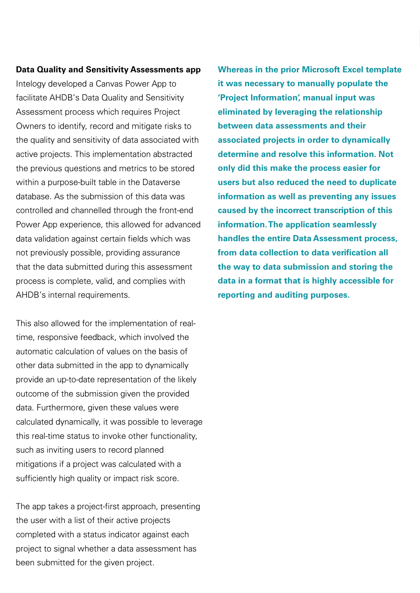#### **Data Quality and Sensitivity Assessments app**

Intelogy developed a Canvas Power App to facilitate AHDB's Data Quality and Sensitivity Assessment process which requires Project Owners to identify, record and mitigate risks to the quality and sensitivity of data associated with active projects. This implementation abstracted the previous questions and metrics to be stored within a purpose-built table in the Dataverse database. As the submission of this data was controlled and channelled through the front-end Power App experience, this allowed for advanced data validation against certain fields which was not previously possible, providing assurance that the data submitted during this assessment process is complete, valid, and complies with AHDB's internal requirements.

This also allowed for the implementation of realtime, responsive feedback, which involved the automatic calculation of values on the basis of other data submitted in the app to dynamically provide an up-to-date representation of the likely outcome of the submission given the provided data. Furthermore, given these values were calculated dynamically, it was possible to leverage this real-time status to invoke other functionality, such as inviting users to record planned mitigations if a project was calculated with a sufficiently high quality or impact risk score.

The app takes a project-first approach, presenting the user with a list of their active projects completed with a status indicator against each project to signal whether a data assessment has been submitted for the given project.

**Whereas in the prior Microsoft Excel template it was necessary to manually populate the 'Project Information', manual input was eliminated by leveraging the relationship between data assessments and their associated projects in order to dynamically determine and resolve this information. Not only did this make the process easier for users but also reduced the need to duplicate information as well as preventing any issues caused by the incorrect transcription of this information. The application seamlessly handles the entire Data Assessment process, from data collection to data verification all the way to data submission and storing the data in a format that is highly accessible for reporting and auditing purposes.**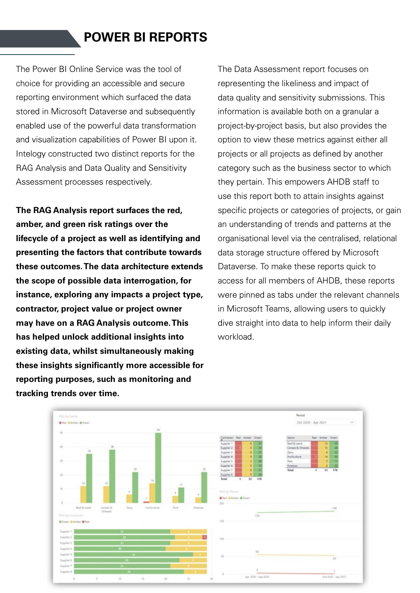## **POWER BI REPORTS**

The Power BI Online Service was the tool of choice for providing an accessible and secure reporting environment which surfaced the data stored in Microsoft Dataverse and subsequently enabled use of the powerful data transformation and visualization capabilities of Power BI upon it. Intelogy constructed two distinct reports for the RAG Analysis and Data Quality and Sensitivity Assessment processes respectively.

**The RAG Analysis report surfaces the red, amber, and green risk ratings over the lifecycle of a project as well as identifying and presenting the factors that contribute towards these outcomes. The data architecture extends the scope of possible data interrogation, for instance, exploring any impacts a project type, contractor, project value or project owner may have on a RAG Analysis outcome. This has helped unlock additional insights into existing data, whilst simultaneously making these insights significantly more accessible for reporting purposes, such as monitoring and tracking trends over time.** 

The Data Assessment report focuses on representing the likeliness and impact of data quality and sensitivity submissions. This information is available both on a granular a project-by-project basis, but also provides the option to view these metrics against either all projects or all projects as defined by another category such as the business sector to which they pertain. This empowers AHDB staff to use this report both to attain insights against specific projects or categories of projects, or gain an understanding of trends and patterns at the organisational level via the centralised, relational data storage structure offered by Microsoft Dataverse. To make these reports quick to access for all members of AHDB, these reports were pinned as tabs under the relevant channels in Microsoft Teams, allowing users to quickly dive straight into data to help inform their daily workload.